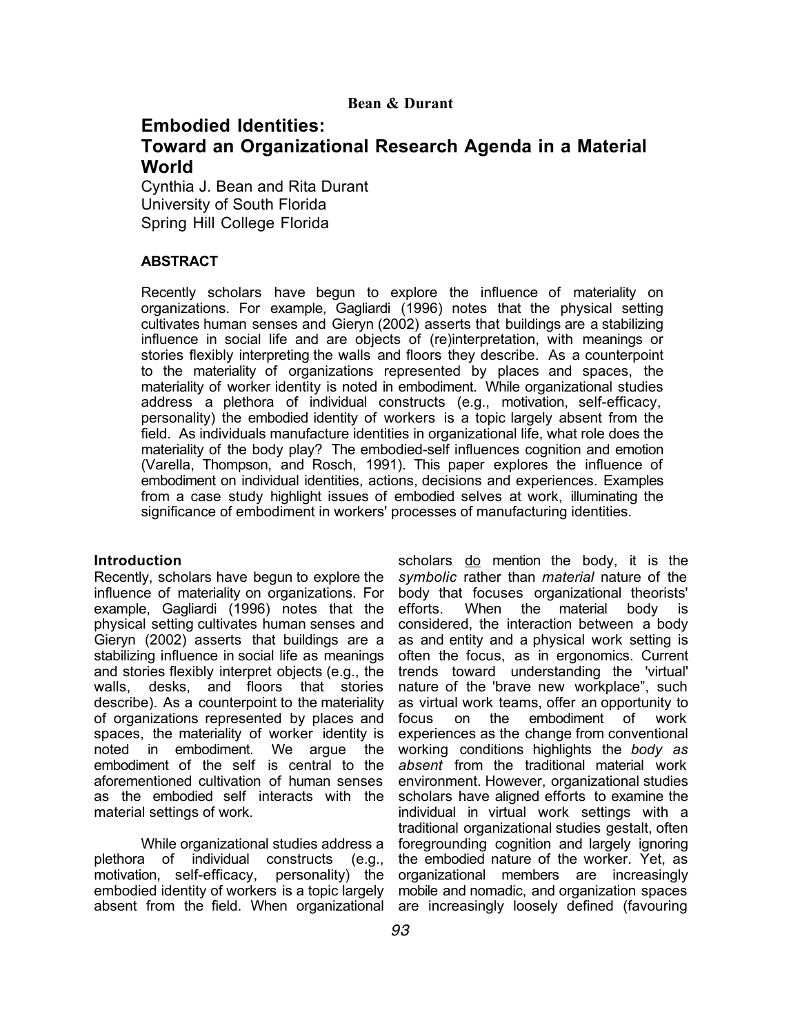# **Embodied Identities:**

# **Toward an Organizational Research Agenda in a Material World**

Cynthia J. Bean and Rita Durant University of South Florida Spring Hill College Florida

# **ABSTRACT**

Recently scholars have begun to explore the influence of materiality on organizations. For example, Gagliardi (1996) notes that the physical setting cultivates human senses and Gieryn (2002) asserts that buildings are a stabilizing influence in social life and are objects of (re)interpretation, with meanings or stories flexibly interpreting the walls and floors they describe. As a counterpoint to the materiality of organizations represented by places and spaces, the materiality of worker identity is noted in embodiment. While organizational studies address a plethora of individual constructs (e.g., motivation, self-efficacy, personality) the embodied identity of workers is a topic largely absent from the field. As individuals manufacture identities in organizational life, what role does the materiality of the body play? The embodied-self influences cognition and emotion (Varella, Thompson, and Rosch, 1991). This paper explores the influence of embodiment on individual identities, actions, decisions and experiences. Examples from a case study highlight issues of embodied selves at work, illuminating the significance of embodiment in workers' processes of manufacturing identities.

# **Introduction**

Recently, scholars have begun to explore the influence of materiality on organizations. For example, Gagliardi (1996) notes that the physical setting cultivates human senses and Gieryn (2002) asserts that buildings are a stabilizing influence in social life as meanings and stories flexibly interpret objects (e.g., the walls, desks, and floors that stories describe). As a counterpoint to the materiality of organizations represented by places and spaces, the materiality of worker identity is noted in embodiment. We argue the embodiment of the self is central to the aforementioned cultivation of human senses as the embodied self interacts with the material settings of work.

While organizational studies address a plethora of individual constructs (e.g., motivation, self-efficacy, personality) the embodied identity of workers is a topic largely absent from the field. When organizational

scholars do mention the body, it is the *symbolic* rather than *material* nature of the body that focuses organizational theorists' efforts. When the material body is considered, the interaction between a body as and entity and a physical work setting is often the focus, as in ergonomics. Current trends toward understanding the 'virtual' nature of the 'brave new workplace", such as virtual work teams, offer an opportunity to focus on the embodiment of work experiences as the change from conventional working conditions highlights the *body as absent* from the traditional material work environment. However, organizational studies scholars have aligned efforts to examine the individual in virtual work settings with a traditional organizational studies gestalt, often foregrounding cognition and largely ignoring the embodied nature of the worker. Yet, as organizational members are increasingly mobile and nomadic, and organization spaces are increasingly loosely defined (favouring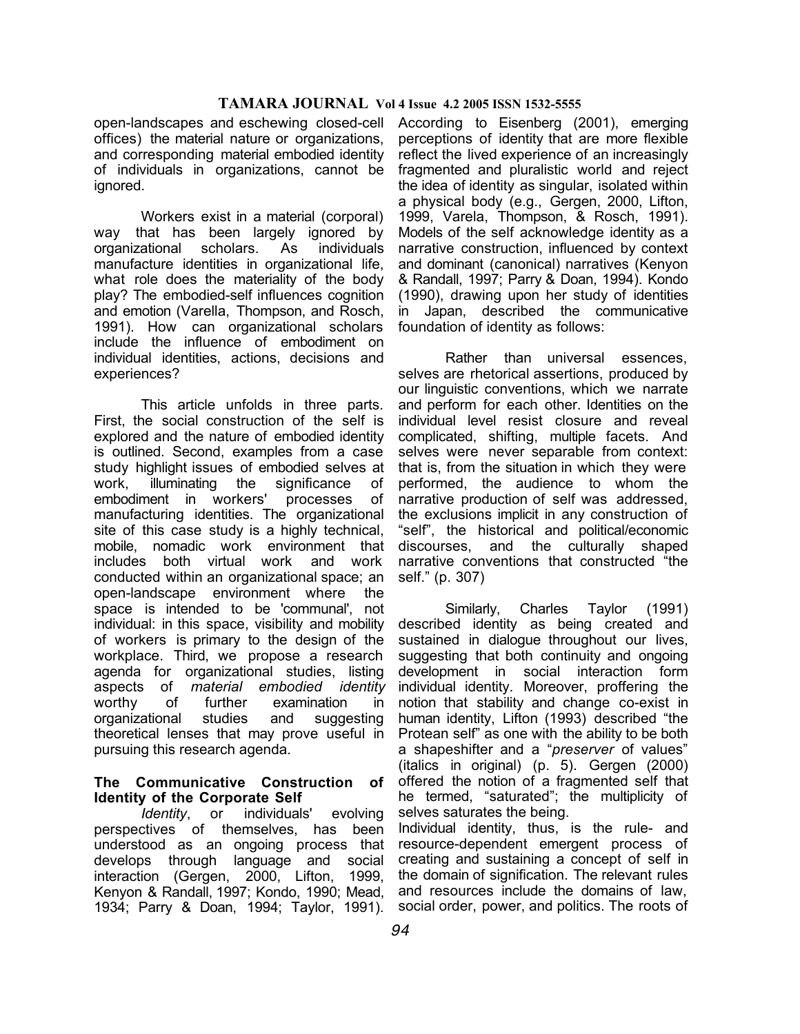open-landscapes and eschewing closed-cell offices) the material nature or organizations, and corresponding material embodied identity of individuals in organizations, cannot be ignored.

Workers exist in a material (corporal) way that has been largely ignored by organizational scholars. As individuals manufacture identities in organizational life, what role does the materiality of the body play? The embodied-self influences cognition and emotion (Varella, Thompson, and Rosch, 1991). How can organizational scholars include the influence of embodiment on individual identities, actions, decisions and experiences?

This article unfolds in three parts. First, the social construction of the self is explored and the nature of embodied identity is outlined. Second, examples from a case study highlight issues of embodied selves at work, illuminating the significance of embodiment in workers' processes of manufacturing identities. The organizational site of this case study is a highly technical, mobile, nomadic work environment that includes both virtual work and work conducted within an organizational space; an open-landscape environment where the space is intended to be 'communal', not individual: in this space, visibility and mobility of workers is primary to the design of the workplace. Third, we propose a research agenda for organizational studies, listing aspects of *material embodied identity* worthy of further examination in organizational studies and suggesting theoretical lenses that may prove useful in pursuing this research agenda.

#### **The Communicative Construction of Identity of the Corporate Self**

*Identity*, or individuals' evolving perspectives of themselves, has been understood as an ongoing process that develops through language and social interaction (Gergen, 2000, Lifton, 1999, Kenyon & Randall, 1997; Kondo, 1990; Mead, 1934; Parry & Doan, 1994; Taylor, 1991).

According to Eisenberg (2001), emerging perceptions of identity that are more flexible reflect the lived experience of an increasingly fragmented and pluralistic world and reject the idea of identity as singular, isolated within a physical body (e.g., Gergen, 2000, Lifton, 1999, Varela, Thompson, & Rosch, 1991). Models of the self acknowledge identity as a narrative construction, influenced by context and dominant (canonical) narratives (Kenyon & Randall, 1997; Parry & Doan, 1994). Kondo (1990), drawing upon her study of identities in Japan, described the communicative foundation of identity as follows:

Rather than universal essences, selves are rhetorical assertions, produced by our linguistic conventions, which we narrate and perform for each other. Identities on the individual level resist closure and reveal complicated, shifting, multiple facets. And selves were never separable from context: that is, from the situation in which they were performed, the audience to whom the narrative production of self was addressed, the exclusions implicit in any construction of "self", the historical and political/economic discourses, and the culturally shaped narrative conventions that constructed "the self." (p. 307)

Similarly, Charles Taylor (1991) described identity as being created and sustained in dialogue throughout our lives, suggesting that both continuity and ongoing development in social interaction form individual identity. Moreover, proffering the notion that stability and change co-exist in human identity, Lifton (1993) described "the Protean self" as one with the ability to be both a shapeshifter and a "*preserver* of values" (italics in original) (p. 5). Gergen (2000) offered the notion of a fragmented self that he termed, "saturated"; the multiplicity of selves saturates the being. Individual identity, thus, is the rule- and

resource-dependent emergent process of creating and sustaining a concept of self in the domain of signification. The relevant rules and resources include the domains of law, social order, power, and politics. The roots of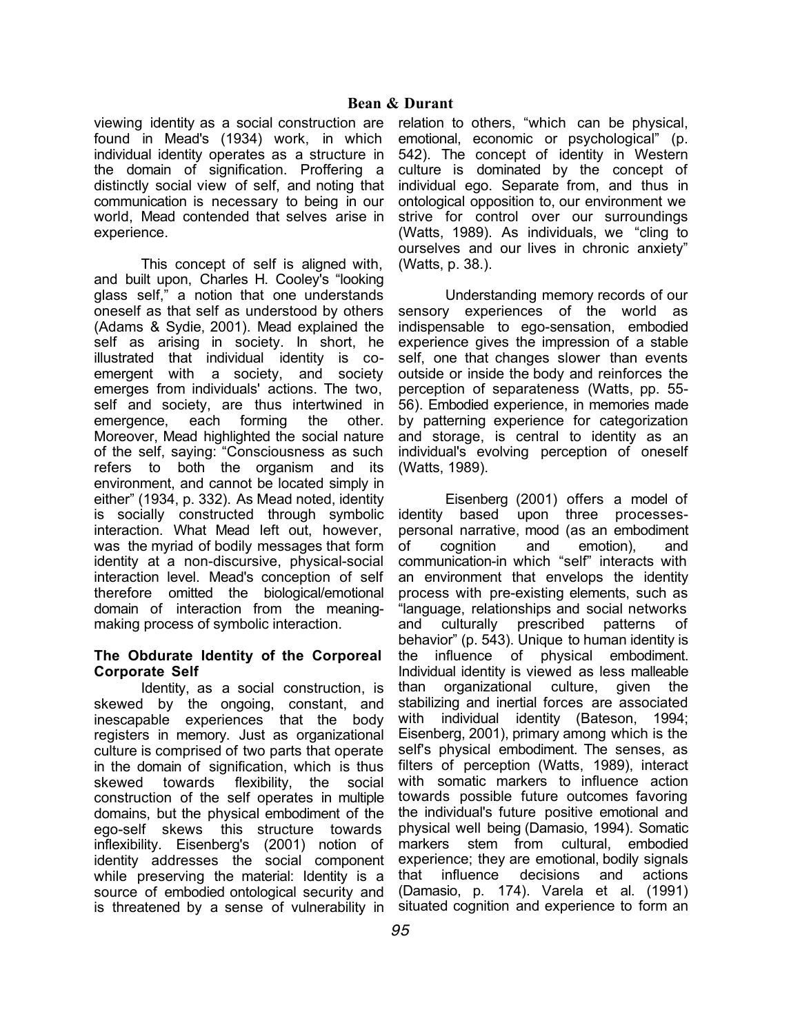viewing identity as a social construction are found in Mead's (1934) work, in which individual identity operates as a structure in the domain of signification. Proffering a distinctly social view of self, and noting that communication is necessary to being in our world, Mead contended that selves arise in experience.

This concept of self is aligned with, and built upon, Charles H. Cooley's "looking glass self," a notion that one understands oneself as that self as understood by others (Adams & Sydie, 2001). Mead explained the self as arising in society. In short, he illustrated that individual identity is coemergent with a society, and society emerges from individuals' actions. The two, self and society, are thus intertwined in emergence, each forming the other. Moreover, Mead highlighted the social nature of the self, saying: "Consciousness as such refers to both the organism and its environment, and cannot be located simply in either" (1934, p. 332). As Mead noted, identity is socially constructed through symbolic interaction. What Mead left out, however, was the myriad of bodily messages that form identity at a non-discursive, physical-social interaction level. Mead's conception of self therefore omitted the biological/emotional domain of interaction from the meaningmaking process of symbolic interaction.

## **The Obdurate Identity of the Corporeal Corporate Self**

Identity, as a social construction, is skewed by the ongoing, constant, and inescapable experiences that the body registers in memory. Just as organizational culture is comprised of two parts that operate in the domain of signification, which is thus skewed towards flexibility, the social construction of the self operates in multiple domains, but the physical embodiment of the ego-self skews this structure towards inflexibility. Eisenberg's (2001) notion of identity addresses the social component while preserving the material: Identity is a source of embodied ontological security and is threatened by a sense of vulnerability in

relation to others, "which can be physical, emotional, economic or psychological" (p. 542). The concept of identity in Western culture is dominated by the concept of individual ego. Separate from, and thus in ontological opposition to, our environment we strive for control over our surroundings (Watts, 1989). As individuals, we "cling to ourselves and our lives in chronic anxiety" (Watts, p. 38.).

Understanding memory records of our sensory experiences of the world as indispensable to ego-sensation, embodied experience gives the impression of a stable self, one that changes slower than events outside or inside the body and reinforces the perception of separateness (Watts, pp. 55- 56). Embodied experience, in memories made by patterning experience for categorization and storage, is central to identity as an individual's evolving perception of oneself (Watts, 1989).

Eisenberg (2001) offers a model of identity based upon three processespersonal narrative, mood (as an embodiment of cognition and emotion), and communication-in which "self" interacts with an environment that envelops the identity process with pre-existing elements, such as "language, relationships and social networks and culturally prescribed patterns of behavior" (p. 543). Unique to human identity is the influence of physical embodiment. Individual identity is viewed as less malleable than organizational culture, given the stabilizing and inertial forces are associated with individual identity (Bateson, 1994; Eisenberg, 2001), primary among which is the self's physical embodiment. The senses, as filters of perception (Watts, 1989), interact with somatic markers to influence action towards possible future outcomes favoring the individual's future positive emotional and physical well being (Damasio, 1994). Somatic markers stem from cultural, embodied experience; they are emotional, bodily signals that influence decisions and actions (Damasio, p. 174). Varela et al. (1991) situated cognition and experience to form an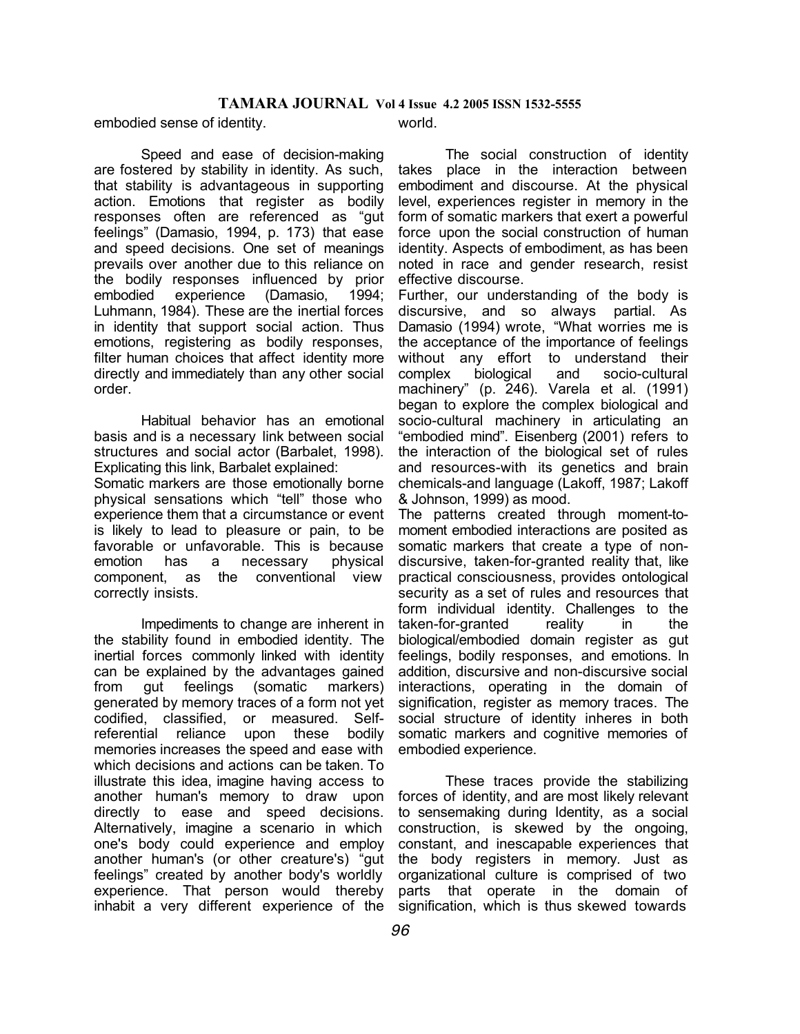embodied sense of identity.

Speed and ease of decision-making are fostered by stability in identity. As such, that stability is advantageous in supporting action. Emotions that register as bodily responses often are referenced as "gut feelings" (Damasio, 1994, p. 173) that ease and speed decisions. One set of meanings prevails over another due to this reliance on the bodily responses influenced by prior embodied experience (Damasio, 1994; Luhmann, 1984). These are the inertial forces in identity that support social action. Thus emotions, registering as bodily responses, filter human choices that affect identity more directly and immediately than any other social order.

Habitual behavior has an emotional basis and is a necessary link between social structures and social actor (Barbalet, 1998). Explicating this link, Barbalet explained: Somatic markers are those emotionally borne physical sensations which "tell" those who experience them that a circumstance or event is likely to lead to pleasure or pain, to be favorable or unfavorable. This is because emotion has a necessary physical component, as the conventional view correctly insists.

Impediments to change are inherent in the stability found in embodied identity. The inertial forces commonly linked with identity can be explained by the advantages gained from gut feelings (somatic markers) generated by memory traces of a form not yet codified, classified, or measured. Selfreferential reliance upon these bodily memories increases the speed and ease with which decisions and actions can be taken. To illustrate this idea, imagine having access to another human's memory to draw upon directly to ease and speed decisions. Alternatively, imagine a scenario in which one's body could experience and employ another human's (or other creature's) "gut feelings" created by another body's worldly experience. That person would thereby inhabit a very different experience of the

world.

The social construction of identity takes place in the interaction between embodiment and discourse. At the physical level, experiences register in memory in the form of somatic markers that exert a powerful force upon the social construction of human identity. Aspects of embodiment, as has been noted in race and gender research, resist effective discourse.

Further, our understanding of the body is discursive, and so always partial. As Damasio (1994) wrote, "What worries me is the acceptance of the importance of feelings without any effort to understand their complex biological and socio-cultural machinery" (p. 246). Varela et al. (1991) began to explore the complex biological and socio-cultural machinery in articulating an "embodied mind". Eisenberg (2001) refers to the interaction of the biological set of rules and resources-with its genetics and brain chemicals-and language (Lakoff, 1987; Lakoff & Johnson, 1999) as mood.

The patterns created through moment-tomoment embodied interactions are posited as somatic markers that create a type of nondiscursive, taken-for-granted reality that, like practical consciousness, provides ontological security as a set of rules and resources that form individual identity. Challenges to the taken-for-granted reality in the biological/embodied domain register as gut feelings, bodily responses, and emotions. In addition, discursive and non-discursive social interactions, operating in the domain of signification, register as memory traces. The social structure of identity inheres in both somatic markers and cognitive memories of embodied experience.

These traces provide the stabilizing forces of identity, and are most likely relevant to sensemaking during Identity, as a social construction, is skewed by the ongoing, constant, and inescapable experiences that the body registers in memory. Just as organizational culture is comprised of two parts that operate in the domain of signification, which is thus skewed towards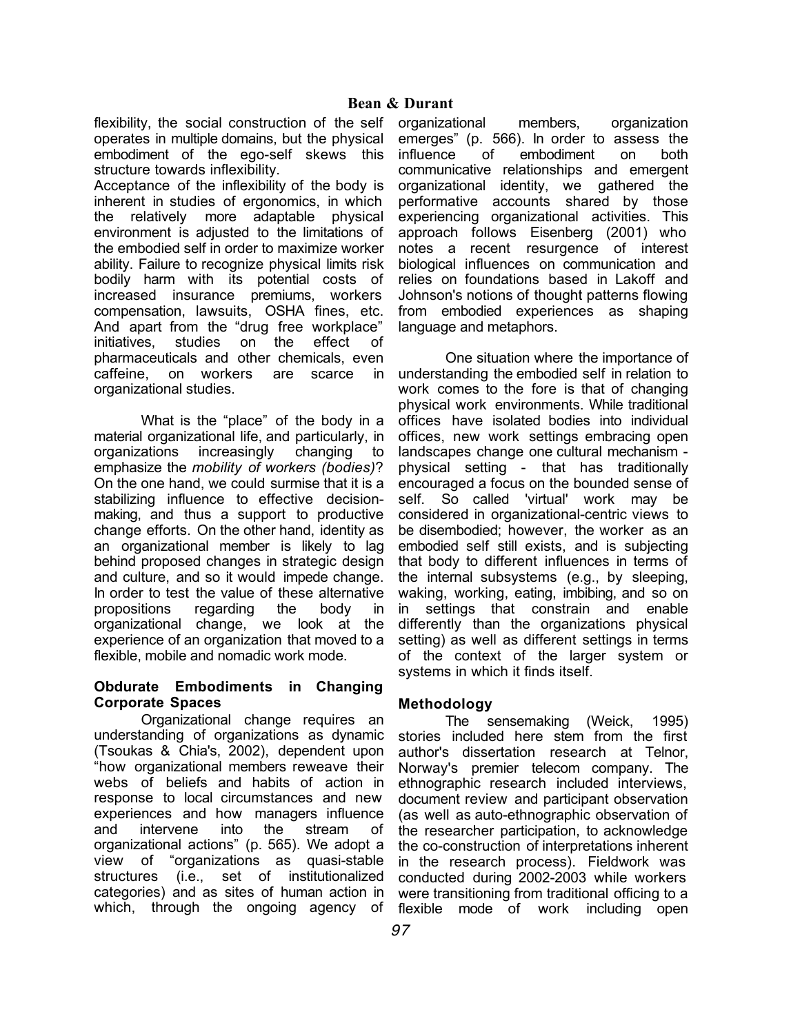flexibility, the social construction of the self operates in multiple domains, but the physical embodiment of the ego-self skews this structure towards inflexibility.

Acceptance of the inflexibility of the body is inherent in studies of ergonomics, in which the relatively more adaptable physical environment is adjusted to the limitations of the embodied self in order to maximize worker ability. Failure to recognize physical limits risk bodily harm with its potential costs of increased insurance premiums, workers compensation, lawsuits, OSHA fines, etc. And apart from the "drug free workplace" initiatives, studies on the effect of pharmaceuticals and other chemicals, even caffeine, on workers are scarce in organizational studies.

What is the "place" of the body in a material organizational life, and particularly, in organizations increasingly changing to emphasize the *mobility of workers (bodies)*? On the one hand, we could surmise that it is a stabilizing influence to effective decisionmaking, and thus a support to productive change efforts. On the other hand, identity as an organizational member is likely to lag behind proposed changes in strategic design and culture, and so it would impede change. In order to test the value of these alternative propositions regarding the body in organizational change, we look at the experience of an organization that moved to a flexible, mobile and nomadic work mode.

# **Obdurate Embodiments in Changing Corporate Spaces**

Organizational change requires an understanding of organizations as dynamic (Tsoukas & Chia's, 2002), dependent upon "how organizational members reweave their webs of beliefs and habits of action in response to local circumstances and new experiences and how managers influence and intervene into the stream of organizational actions" (p. 565). We adopt a view of "organizations as quasi-stable structures (i.e., set of institutionalized categories) and as sites of human action in which, through the ongoing agency of

organizational members, organization emerges" (p. 566). In order to assess the influence of embodiment on both communicative relationships and emergent organizational identity, we gathered the performative accounts shared by those experiencing organizational activities. This approach follows Eisenberg (2001) who notes a recent resurgence of interest biological influences on communication and relies on foundations based in Lakoff and Johnson's notions of thought patterns flowing from embodied experiences as shaping language and metaphors.

One situation where the importance of understanding the embodied self in relation to work comes to the fore is that of changing physical work environments. While traditional offices have isolated bodies into individual offices, new work settings embracing open landscapes change one cultural mechanism physical setting - that has traditionally encouraged a focus on the bounded sense of self. So called 'virtual' work may be considered in organizational-centric views to be disembodied; however, the worker as an embodied self still exists, and is subjecting that body to different influences in terms of the internal subsystems (e.g., by sleeping, waking, working, eating, imbibing, and so on in settings that constrain and enable differently than the organizations physical setting) as well as different settings in terms of the context of the larger system or systems in which it finds itself.

# **Methodology**

The sensemaking (Weick, 1995) stories included here stem from the first author's dissertation research at Telnor, Norway's premier telecom company. The ethnographic research included interviews, document review and participant observation (as well as auto-ethnographic observation of the researcher participation, to acknowledge the co-construction of interpretations inherent in the research process). Fieldwork was conducted during 2002-2003 while workers were transitioning from traditional officing to a flexible mode of work including open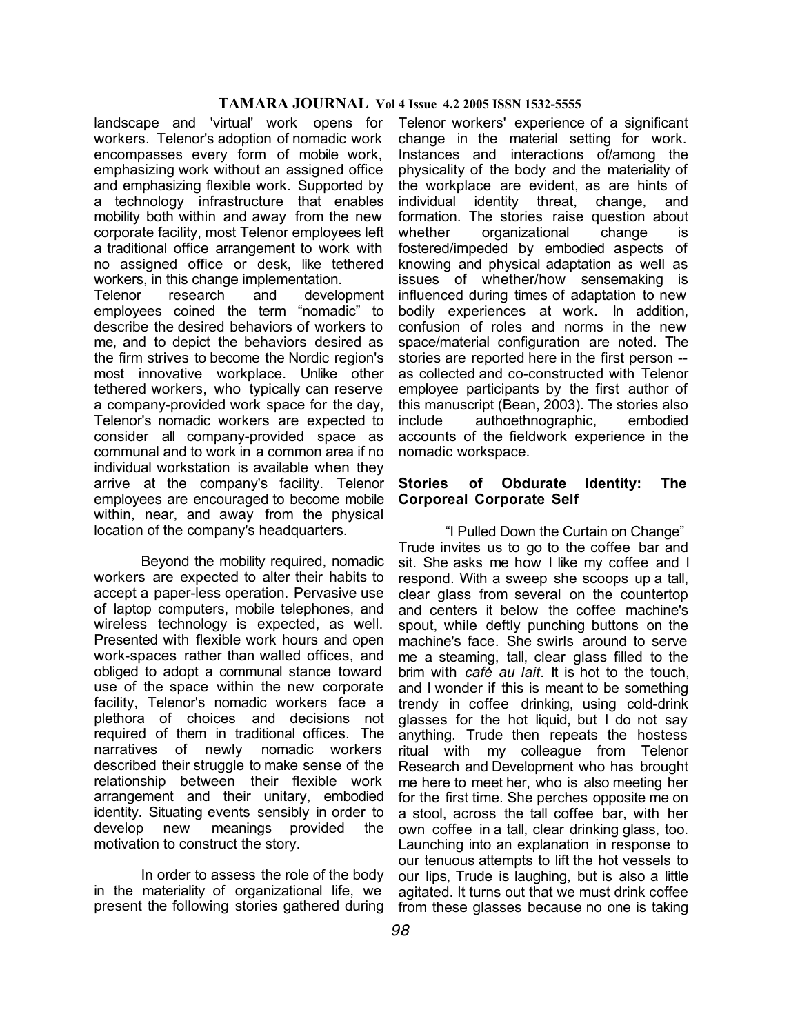landscape and 'virtual' work opens for workers. Telenor's adoption of nomadic work encompasses every form of mobile work, emphasizing work without an assigned office and emphasizing flexible work. Supported by a technology infrastructure that enables mobility both within and away from the new corporate facility, most Telenor employees left a traditional office arrangement to work with no assigned office or desk, like tethered workers, in this change implementation.

Telenor research and development employees coined the term "nomadic" to describe the desired behaviors of workers to me, and to depict the behaviors desired as the firm strives to become the Nordic region's most innovative workplace. Unlike other tethered workers, who typically can reserve a company-provided work space for the day, Telenor's nomadic workers are expected to consider all company-provided space as communal and to work in a common area if no individual workstation is available when they arrive at the company's facility. Telenor employees are encouraged to become mobile within, near, and away from the physical location of the company's headquarters.

Beyond the mobility required, nomadic workers are expected to alter their habits to accept a paper-less operation. Pervasive use of laptop computers, mobile telephones, and wireless technology is expected, as well. Presented with flexible work hours and open work-spaces rather than walled offices, and obliged to adopt a communal stance toward use of the space within the new corporate facility, Telenor's nomadic workers face a plethora of choices and decisions not required of them in traditional offices. The narratives of newly nomadic workers described their struggle to make sense of the relationship between their flexible work arrangement and their unitary, embodied identity. Situating events sensibly in order to develop new meanings provided the motivation to construct the story.

In order to assess the role of the body in the materiality of organizational life, we present the following stories gathered during

Telenor workers' experience of a significant change in the material setting for work. Instances and interactions of/among the physicality of the body and the materiality of the workplace are evident, as are hints of individual identity threat, change, and formation. The stories raise question about whether organizational change is fostered/impeded by embodied aspects of knowing and physical adaptation as well as issues of whether/how sensemaking is influenced during times of adaptation to new bodily experiences at work. In addition, confusion of roles and norms in the new space/material configuration are noted. The stories are reported here in the first person - as collected and co-constructed with Telenor employee participants by the first author of this manuscript (Bean, 2003). The stories also include authoethnographic, embodied accounts of the fieldwork experience in the nomadic workspace.

## **Stories of Obdurate Identity: The Corporeal Corporate Self**

"I Pulled Down the Curtain on Change" Trude invites us to go to the coffee bar and sit. She asks me how I like my coffee and I respond. With a sweep she scoops up a tall, clear glass from several on the countertop and centers it below the coffee machine's spout, while deftly punching buttons on the machine's face. She swirls around to serve me a steaming, tall, clear glass filled to the brim with *café au lait*. It is hot to the touch, and I wonder if this is meant to be something trendy in coffee drinking, using cold-drink glasses for the hot liquid, but I do not say anything. Trude then repeats the hostess ritual with my colleague from Telenor Research and Development who has brought me here to meet her, who is also meeting her for the first time. She perches opposite me on a stool, across the tall coffee bar, with her own coffee in a tall, clear drinking glass, too. Launching into an explanation in response to our tenuous attempts to lift the hot vessels to our lips, Trude is laughing, but is also a little agitated. It turns out that we must drink coffee from these glasses because no one is taking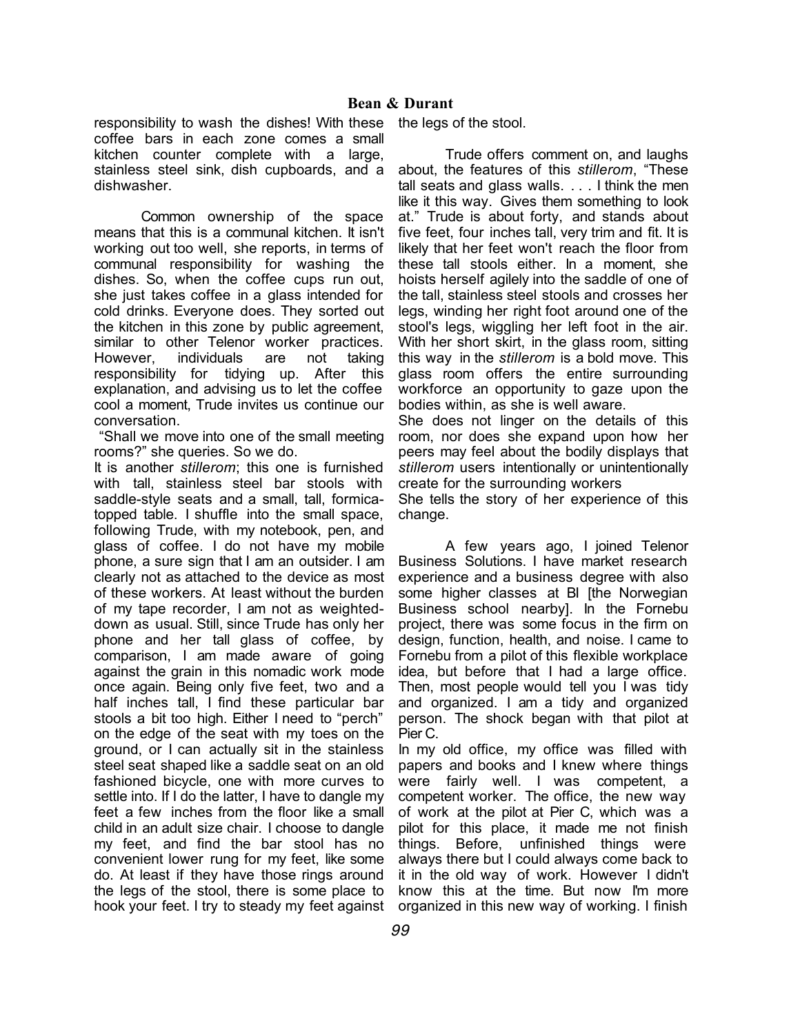responsibility to wash the dishes! With these coffee bars in each zone comes a small kitchen counter complete with a large, stainless steel sink, dish cupboards, and a dishwasher.

Common ownership of the space means that this is a communal kitchen. It isn't working out too well, she reports, in terms of communal responsibility for washing the dishes. So, when the coffee cups run out, she just takes coffee in a glass intended for cold drinks. Everyone does. They sorted out the kitchen in this zone by public agreement, similar to other Telenor worker practices. However, individuals are not taking responsibility for tidying up. After this explanation, and advising us to let the coffee cool a moment, Trude invites us continue our conversation.

"Shall we move into one of the small meeting rooms?" she queries. So we do.

It is another *stillerom*; this one is furnished with tall, stainless steel bar stools with saddle-style seats and a small, tall, formicatopped table. I shuffle into the small space, following Trude, with my notebook, pen, and glass of coffee. I do not have my mobile phone, a sure sign that I am an outsider. I am clearly not as attached to the device as most of these workers. At least without the burden of my tape recorder, I am not as weighteddown as usual. Still, since Trude has only her phone and her tall glass of coffee, by comparison, I am made aware of going against the grain in this nomadic work mode once again. Being only five feet, two and a half inches tall, I find these particular bar stools a bit too high. Either I need to "perch" on the edge of the seat with my toes on the ground, or I can actually sit in the stainless steel seat shaped like a saddle seat on an old fashioned bicycle, one with more curves to settle into. If I do the latter, I have to dangle my feet a few inches from the floor like a small child in an adult size chair. I choose to dangle my feet, and find the bar stool has no convenient lower rung for my feet, like some do. At least if they have those rings around the legs of the stool, there is some place to hook your feet. I try to steady my feet against

the legs of the stool.

Trude offers comment on, and laughs about, the features of this *stillerom*, "These tall seats and glass walls. . . . I think the men like it this way. Gives them something to look at." Trude is about forty, and stands about five feet, four inches tall, very trim and fit. It is likely that her feet won't reach the floor from these tall stools either. In a moment, she hoists herself agilely into the saddle of one of the tall, stainless steel stools and crosses her legs, winding her right foot around one of the stool's legs, wiggling her left foot in the air. With her short skirt, in the glass room, sitting this way in the *stillerom* is a bold move. This glass room offers the entire surrounding workforce an opportunity to gaze upon the bodies within, as she is well aware.

She does not linger on the details of this room, nor does she expand upon how her peers may feel about the bodily displays that *stillerom* users intentionally or unintentionally create for the surrounding workers

She tells the story of her experience of this change.

A few years ago, I joined Telenor Business Solutions. I have market research experience and a business degree with also some higher classes at BI [the Norwegian Business school nearby]. In the Fornebu project, there was some focus in the firm on design, function, health, and noise. I came to Fornebu from a pilot of this flexible workplace idea, but before that I had a large office. Then, most people would tell you I was tidy and organized. I am a tidy and organized person. The shock began with that pilot at Pier C.

In my old office, my office was filled with papers and books and I knew where things were fairly well. I was competent, a competent worker. The office, the new way of work at the pilot at Pier C, which was a pilot for this place, it made me not finish things. Before, unfinished things were always there but I could always come back to it in the old way of work. However I didn't know this at the time. But now I'm more organized in this new way of working. I finish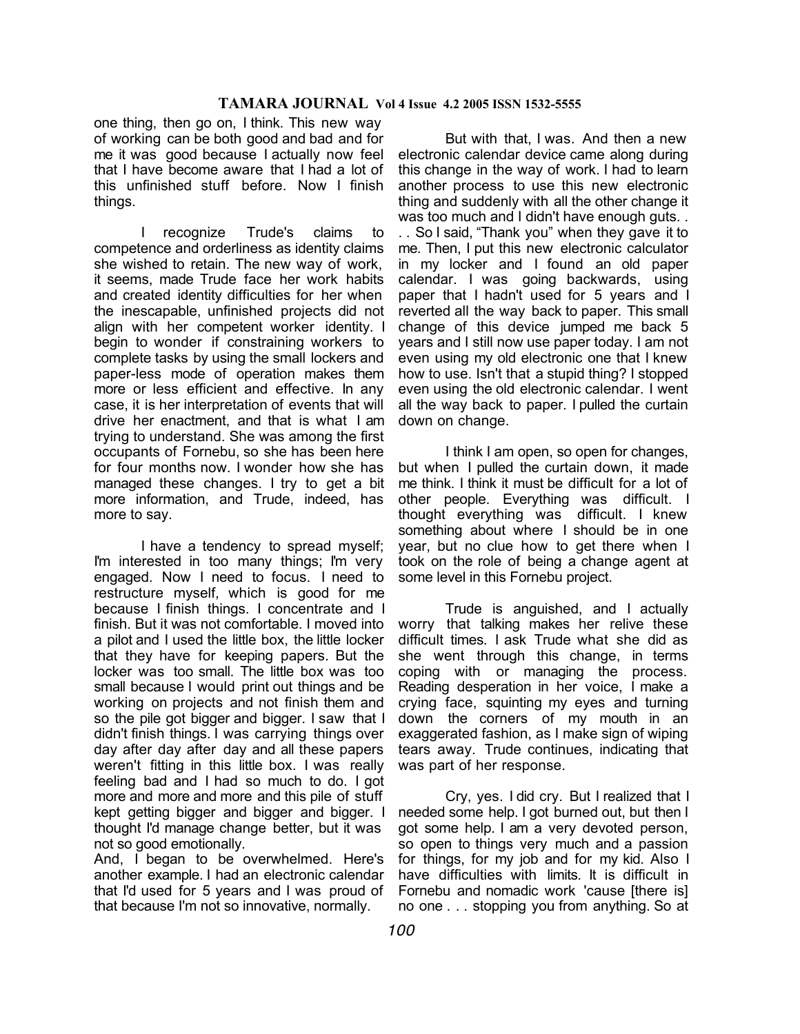one thing, then go on, I think. This new way of working can be both good and bad and for me it was good because I actually now feel that I have become aware that I had a lot of this unfinished stuff before. Now I finish things.

I recognize Trude's claims to competence and orderliness as identity claims she wished to retain. The new way of work, it seems, made Trude face her work habits and created identity difficulties for her when the inescapable, unfinished projects did not align with her competent worker identity. I begin to wonder if constraining workers to complete tasks by using the small lockers and paper-less mode of operation makes them more or less efficient and effective. In any case, it is her interpretation of events that will drive her enactment, and that is what I am trying to understand. She was among the first occupants of Fornebu, so she has been here for four months now. I wonder how she has managed these changes. I try to get a bit more information, and Trude, indeed, has more to say.

I have a tendency to spread myself; I'm interested in too many things; I'm very engaged. Now I need to focus. I need to restructure myself, which is good for me because I finish things. I concentrate and I finish. But it was not comfortable. I moved into a pilot and I used the little box, the little locker that they have for keeping papers. But the locker was too small. The little box was too small because I would print out things and be working on projects and not finish them and so the pile got bigger and bigger. I saw that I didn't finish things. I was carrying things over day after day after day and all these papers weren't fitting in this little box. I was really feeling bad and I had so much to do. I got more and more and more and this pile of stuff kept getting bigger and bigger and bigger. I thought I'd manage change better, but it was not so good emotionally.

And, I began to be overwhelmed. Here's another example. I had an electronic calendar that I'd used for 5 years and I was proud of that because I'm not so innovative, normally.

But with that, I was. And then a new electronic calendar device came along during this change in the way of work. I had to learn another process to use this new electronic thing and suddenly with all the other change it was too much and I didn't have enough guts. .

. . So I said, "Thank you" when they gave it to me. Then, I put this new electronic calculator in my locker and I found an old paper calendar. I was going backwards, using paper that I hadn't used for 5 years and I reverted all the way back to paper. This small change of this device jumped me back 5 years and I still now use paper today. I am not even using my old electronic one that I knew how to use. Isn't that a stupid thing? I stopped even using the old electronic calendar. I went all the way back to paper. I pulled the curtain down on change.

I think I am open, so open for changes, but when I pulled the curtain down, it made me think. I think it must be difficult for a lot of other people. Everything was difficult. I thought everything was difficult. I knew something about where I should be in one year, but no clue how to get there when I took on the role of being a change agent at some level in this Fornebu project.

Trude is anguished, and I actually worry that talking makes her relive these difficult times. I ask Trude what she did as she went through this change, in terms coping with or managing the process. Reading desperation in her voice, I make a crying face, squinting my eyes and turning down the corners of my mouth in an exaggerated fashion, as I make sign of wiping tears away. Trude continues, indicating that was part of her response.

Cry, yes. I did cry. But I realized that I needed some help. I got burned out, but then I got some help. I am a very devoted person, so open to things very much and a passion for things, for my job and for my kid. Also I have difficulties with limits. It is difficult in Fornebu and nomadic work 'cause [there is] no one . . . stopping you from anything. So at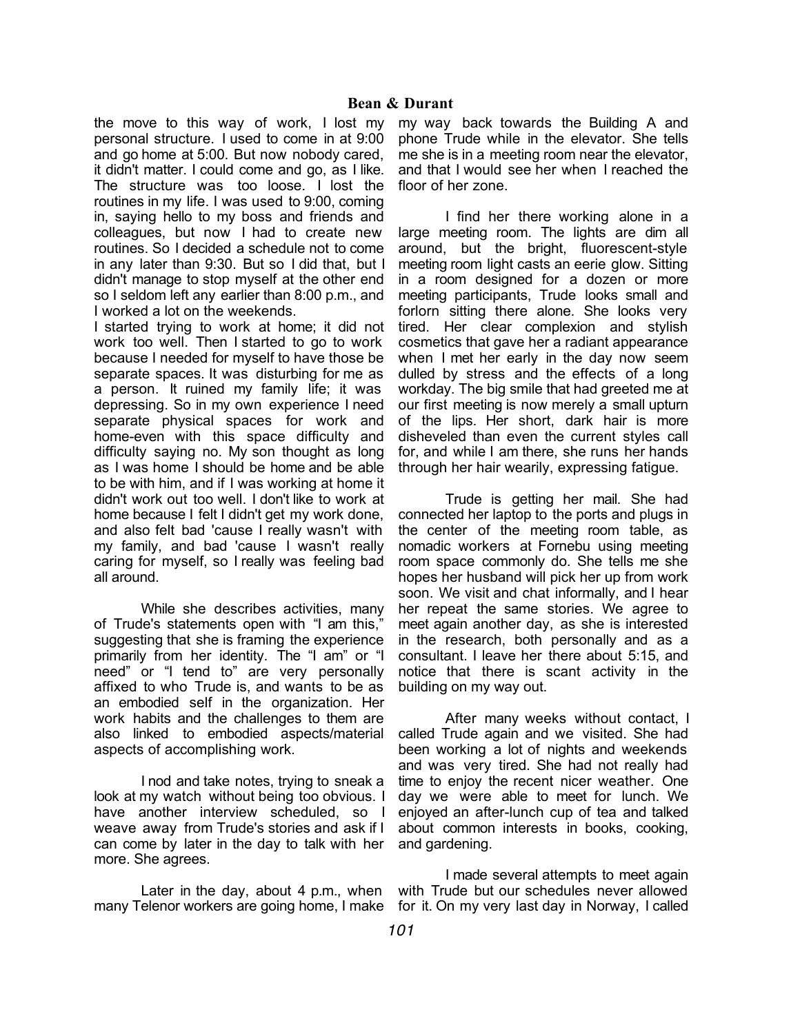the move to this way of work, I lost my personal structure. I used to come in at 9:00 and go home at 5:00. But now nobody cared, it didn't matter. I could come and go, as I like. The structure was too loose. I lost the routines in my life. I was used to 9:00, coming in, saying hello to my boss and friends and colleagues, but now I had to create new routines. So I decided a schedule not to come in any later than 9:30. But so I did that, but I didn't manage to stop myself at the other end so I seldom left any earlier than 8:00 p.m., and I worked a lot on the weekends.

I started trying to work at home; it did not work too well. Then I started to go to work because I needed for myself to have those be separate spaces. It was disturbing for me as a person. It ruined my family life; it was depressing. So in my own experience I need separate physical spaces for work and home-even with this space difficulty and difficulty saying no. My son thought as long as I was home I should be home and be able to be with him, and if I was working at home it didn't work out too well. I don't like to work at home because I felt I didn't get my work done, and also felt bad 'cause I really wasn't with my family, and bad 'cause I wasn't really caring for myself, so I really was feeling bad all around.

While she describes activities, many of Trude's statements open with "I am this," suggesting that she is framing the experience primarily from her identity. The "I am" or "I need" or "I tend to" are very personally affixed to who Trude is, and wants to be as an embodied self in the organization. Her work habits and the challenges to them are also linked to embodied aspects/material aspects of accomplishing work.

I nod and take notes, trying to sneak a look at my watch without being too obvious. I have another interview scheduled, so I weave away from Trude's stories and ask if I can come by later in the day to talk with her more. She agrees.

Later in the day, about 4 p.m., when many Telenor workers are going home, I make for it. On my very last day in Norway, I called

my way back towards the Building A and phone Trude while in the elevator. She tells me she is in a meeting room near the elevator, and that I would see her when I reached the floor of her zone.

I find her there working alone in a large meeting room. The lights are dim all around, but the bright, fluorescent-style meeting room light casts an eerie glow. Sitting in a room designed for a dozen or more meeting participants, Trude looks small and forlorn sitting there alone. She looks very tired. Her clear complexion and stylish cosmetics that gave her a radiant appearance when I met her early in the day now seem dulled by stress and the effects of a long workday. The big smile that had greeted me at our first meeting is now merely a small upturn of the lips. Her short, dark hair is more disheveled than even the current styles call for, and while I am there, she runs her hands through her hair wearily, expressing fatigue.

Trude is getting her mail. She had connected her laptop to the ports and plugs in the center of the meeting room table, as nomadic workers at Fornebu using meeting room space commonly do. She tells me she hopes her husband will pick her up from work soon. We visit and chat informally, and I hear her repeat the same stories. We agree to meet again another day, as she is interested in the research, both personally and as a consultant. I leave her there about 5:15, and notice that there is scant activity in the building on my way out.

After many weeks without contact, I called Trude again and we visited. She had been working a lot of nights and weekends and was very tired. She had not really had time to enjoy the recent nicer weather. One day we were able to meet for lunch. We enjoyed an after-lunch cup of tea and talked about common interests in books, cooking, and gardening.

I made several attempts to meet again with Trude but our schedules never allowed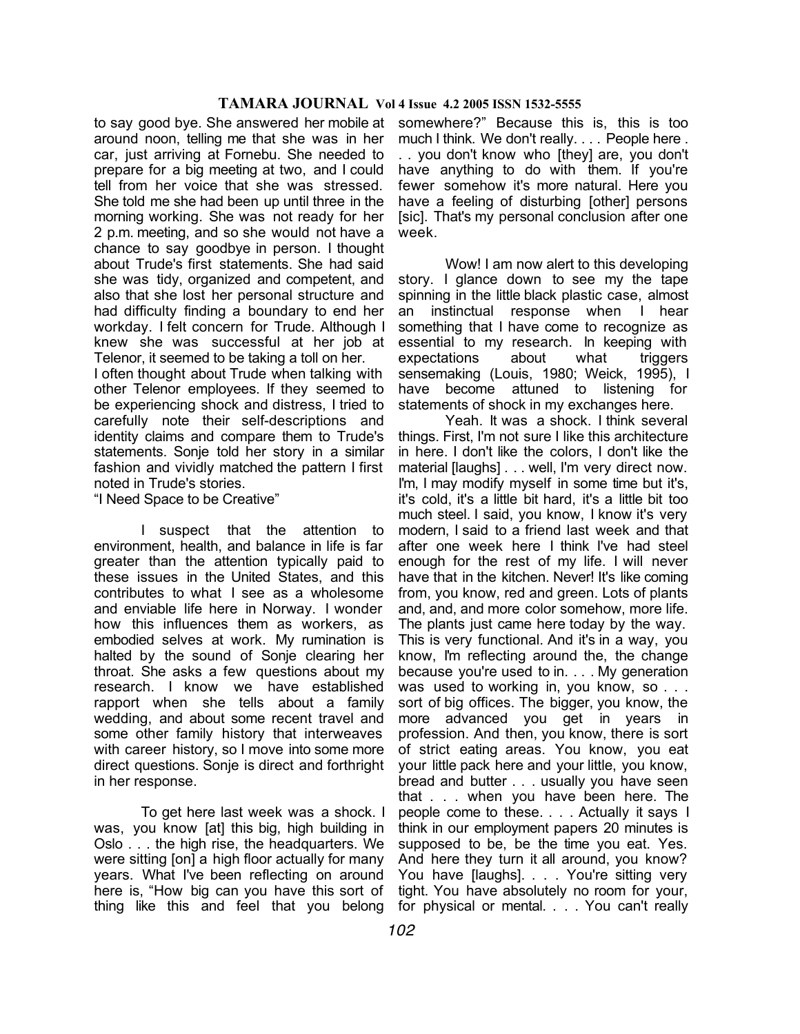to say good bye. She answered her mobile at around noon, telling me that she was in her car, just arriving at Fornebu. She needed to prepare for a big meeting at two, and I could tell from her voice that she was stressed. She told me she had been up until three in the morning working. She was not ready for her 2 p.m. meeting, and so she would not have a chance to say goodbye in person. I thought about Trude's first statements. She had said she was tidy, organized and competent, and also that she lost her personal structure and had difficulty finding a boundary to end her workday. I felt concern for Trude. Although I knew she was successful at her job at Telenor, it seemed to be taking a toll on her.

I often thought about Trude when talking with other Telenor employees. If they seemed to be experiencing shock and distress, I tried to carefully note their self-descriptions and identity claims and compare them to Trude's statements. Sonje told her story in a similar fashion and vividly matched the pattern I first noted in Trude's stories.

"I Need Space to be Creative"

I suspect that the attention to environment, health, and balance in life is far greater than the attention typically paid to these issues in the United States, and this contributes to what I see as a wholesome and enviable life here in Norway. I wonder how this influences them as workers, as embodied selves at work. My rumination is halted by the sound of Sonje clearing her throat. She asks a few questions about my research. I know we have established rapport when she tells about a family wedding, and about some recent travel and some other family history that interweaves with career history, so I move into some more direct questions. Sonje is direct and forthright in her response.

To get here last week was a shock. I was, you know [at] this big, high building in Oslo . . . the high rise, the headquarters. We were sitting [on] a high floor actually for many years. What I've been reflecting on around here is, "How big can you have this sort of thing like this and feel that you belong

somewhere?" Because this is, this is too much I think. We don't really. . . . People here . . . you don't know who [they] are, you don't have anything to do with them. If you're fewer somehow it's more natural. Here you have a feeling of disturbing [other] persons [sic]. That's my personal conclusion after one week.

Wow! I am now alert to this developing story. I glance down to see my the tape spinning in the little black plastic case, almost an instinctual response when I hear something that I have come to recognize as essential to my research. In keeping with expectations about what triggers sensemaking (Louis, 1980; Weick, 1995), I have become attuned to listening for statements of shock in my exchanges here.

Yeah. It was a shock. I think several things. First, I'm not sure I like this architecture in here. I don't like the colors, I don't like the material [laughs] . . . well, I'm very direct now. I'm, I may modify myself in some time but it's, it's cold, it's a little bit hard, it's a little bit too much steel. I said, you know, I know it's very modern, I said to a friend last week and that after one week here I think I've had steel enough for the rest of my life. I will never have that in the kitchen. Never! It's like coming from, you know, red and green. Lots of plants and, and, and more color somehow, more life. The plants just came here today by the way. This is very functional. And it's in a way, you know, I'm reflecting around the, the change because you're used to in. . . . My generation was used to working in, you know, so . . . sort of big offices. The bigger, you know, the more advanced you get in years in profession. And then, you know, there is sort of strict eating areas. You know, you eat your little pack here and your little, you know, bread and butter . . . usually you have seen that . . . when you have been here. The people come to these. . . . Actually it says I think in our employment papers 20 minutes is supposed to be, be the time you eat. Yes. And here they turn it all around, you know? You have [laughs]. . . . You're sitting very tight. You have absolutely no room for your, for physical or mental. . . . You can't really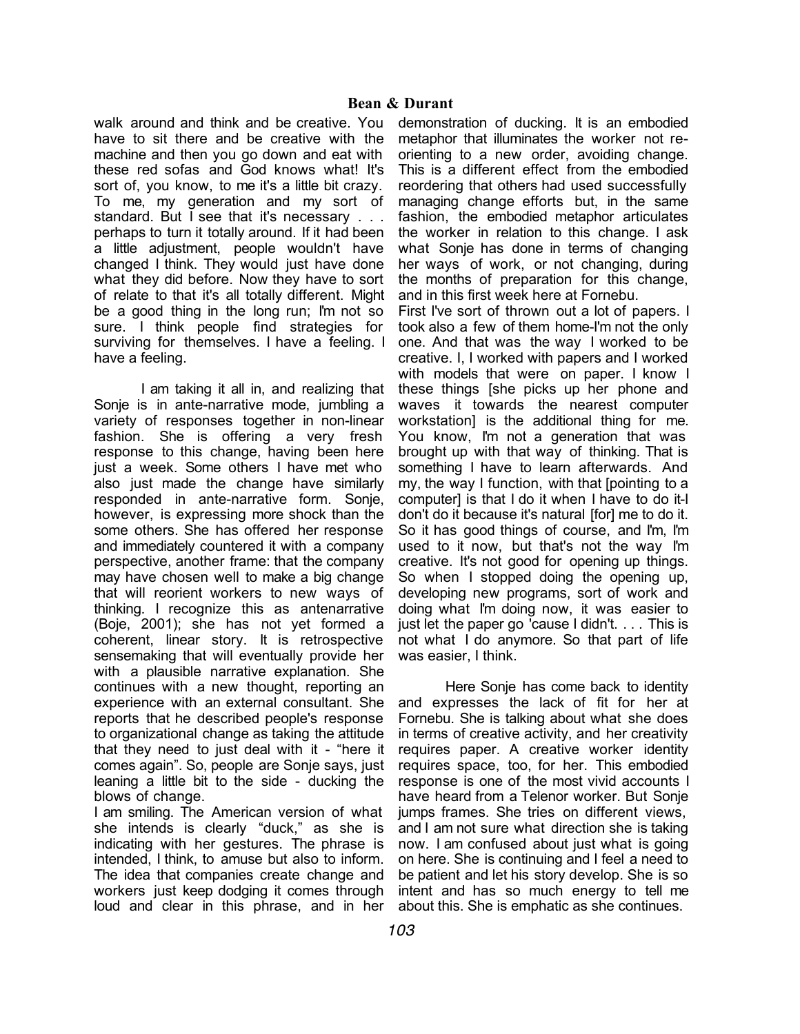walk around and think and be creative. You have to sit there and be creative with the machine and then you go down and eat with these red sofas and God knows what! It's sort of, you know, to me it's a little bit crazy. To me, my generation and my sort of standard. But I see that it's necessary . . . perhaps to turn it totally around. If it had been a little adjustment, people wouldn't have changed I think. They would just have done what they did before. Now they have to sort of relate to that it's all totally different. Might be a good thing in the long run; I'm not so sure. I think people find strategies for surviving for themselves. I have a feeling. I have a feeling.

I am taking it all in, and realizing that Sonje is in ante-narrative mode, jumbling a variety of responses together in non-linear fashion. She is offering a very fresh response to this change, having been here just a week. Some others I have met who also just made the change have similarly responded in ante-narrative form. Sonje, however, is expressing more shock than the some others. She has offered her response and immediately countered it with a company perspective, another frame: that the company may have chosen well to make a big change that will reorient workers to new ways of thinking. I recognize this as antenarrative (Boje, 2001); she has not yet formed a coherent, linear story. It is retrospective sensemaking that will eventually provide her with a plausible narrative explanation. She continues with a new thought, reporting an experience with an external consultant. She reports that he described people's response to organizational change as taking the attitude that they need to just deal with it - "here it comes again". So, people are Sonje says, just leaning a little bit to the side - ducking the blows of change.

I am smiling. The American version of what she intends is clearly "duck," as she is indicating with her gestures. The phrase is intended, I think, to amuse but also to inform. The idea that companies create change and workers just keep dodging it comes through loud and clear in this phrase, and in her

demonstration of ducking. It is an embodied metaphor that illuminates the worker not reorienting to a new order, avoiding change. This is a different effect from the embodied reordering that others had used successfully managing change efforts but, in the same fashion, the embodied metaphor articulates the worker in relation to this change. I ask what Sonje has done in terms of changing her ways of work, or not changing, during the months of preparation for this change, and in this first week here at Fornebu.

First I've sort of thrown out a lot of papers. I took also a few of them home-I'm not the only one. And that was the way I worked to be creative. I, I worked with papers and I worked with models that were on paper. I know I these things [she picks up her phone and waves it towards the nearest computer workstation] is the additional thing for me. You know, I'm not a generation that was brought up with that way of thinking. That is something I have to learn afterwards. And my, the way I function, with that [pointing to a computer] is that I do it when I have to do it-I don't do it because it's natural [for] me to do it. So it has good things of course, and I'm, I'm used to it now, but that's not the way I'm creative. It's not good for opening up things. So when I stopped doing the opening up, developing new programs, sort of work and doing what I'm doing now, it was easier to just let the paper go 'cause I didn't. . . . This is not what I do anymore. So that part of life was easier, I think.

Here Sonje has come back to identity and expresses the lack of fit for her at Fornebu. She is talking about what she does in terms of creative activity, and her creativity requires paper. A creative worker identity requires space, too, for her. This embodied response is one of the most vivid accounts I have heard from a Telenor worker. But Sonje jumps frames. She tries on different views, and I am not sure what direction she is taking now. I am confused about just what is going on here. She is continuing and I feel a need to be patient and let his story develop. She is so intent and has so much energy to tell me about this. She is emphatic as she continues.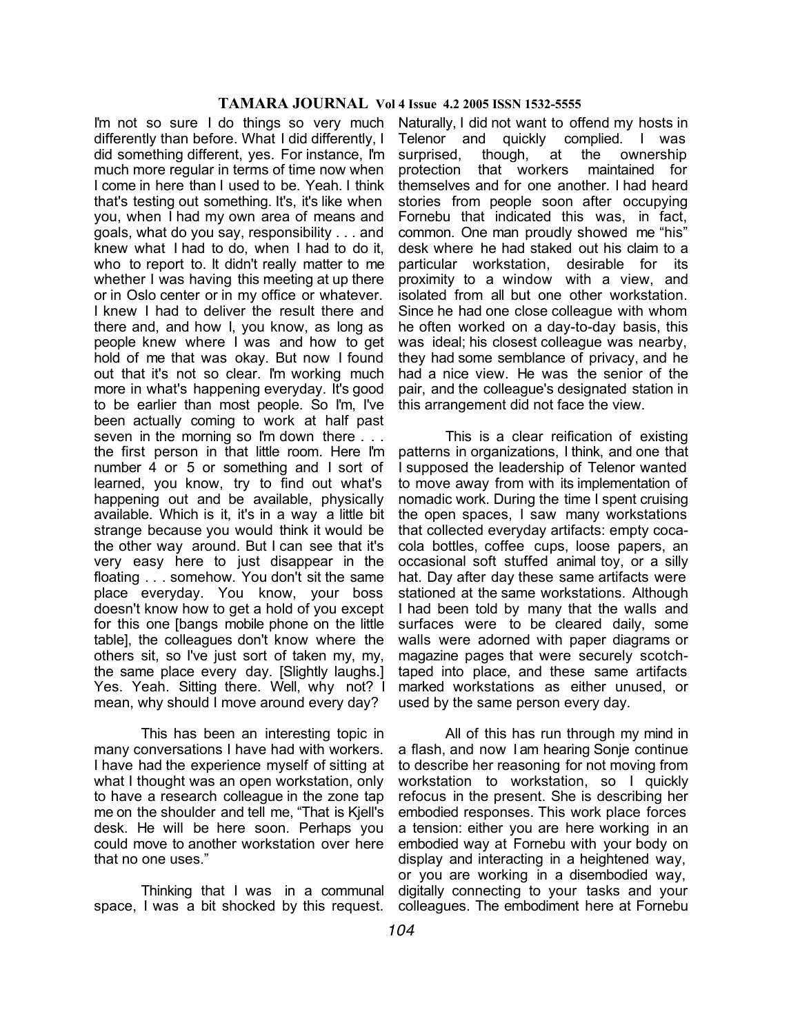I'm not so sure I do things so very much differently than before. What I did differently, I did something different, yes. For instance, I'm much more regular in terms of time now when I come in here than I used to be. Yeah. I think that's testing out something. It's, it's like when you, when I had my own area of means and goals, what do you say, responsibility . . . and knew what I had to do, when I had to do it, who to report to. It didn't really matter to me whether I was having this meeting at up there or in Oslo center or in my office or whatever. I knew I had to deliver the result there and there and, and how I, you know, as long as people knew where I was and how to get hold of me that was okay. But now I found out that it's not so clear. I'm working much more in what's happening everyday. It's good to be earlier than most people. So I'm, I've been actually coming to work at half past seven in the morning so I'm down there ... the first person in that little room. Here I'm number 4 or 5 or something and I sort of learned, you know, try to find out what's happening out and be available, physically available. Which is it, it's in a way a little bit strange because you would think it would be the other way around. But I can see that it's very easy here to just disappear in the floating . . . somehow. You don't sit the same place everyday. You know, your boss doesn't know how to get a hold of you except for this one [bangs mobile phone on the little table], the colleagues don't know where the others sit, so I've just sort of taken my, my, the same place every day. [Slightly laughs.] Yes. Yeah. Sitting there. Well, why not? I mean, why should I move around every day?

This has been an interesting topic in many conversations I have had with workers. I have had the experience myself of sitting at what I thought was an open workstation, only to have a research colleague in the zone tap me on the shoulder and tell me, "That is Kjell's desk. He will be here soon. Perhaps you could move to another workstation over here that no one uses."

Thinking that I was in a communal space, I was a bit shocked by this request.

Naturally, I did not want to offend my hosts in Telenor and quickly complied. I was surprised, though, at the ownership protection that workers maintained for themselves and for one another. I had heard stories from people soon after occupying Fornebu that indicated this was, in fact, common. One man proudly showed me "his" desk where he had staked out his claim to a particular workstation, desirable for its proximity to a window with a view, and isolated from all but one other workstation. Since he had one close colleague with whom he often worked on a day-to-day basis, this was ideal; his closest colleague was nearby, they had some semblance of privacy, and he had a nice view. He was the senior of the pair, and the colleague's designated station in this arrangement did not face the view.

This is a clear reification of existing patterns in organizations, I think, and one that I supposed the leadership of Telenor wanted to move away from with its implementation of nomadic work. During the time I spent cruising the open spaces, I saw many workstations that collected everyday artifacts: empty cocacola bottles, coffee cups, loose papers, an occasional soft stuffed animal toy, or a silly hat. Day after day these same artifacts were stationed at the same workstations. Although I had been told by many that the walls and surfaces were to be cleared daily, some walls were adorned with paper diagrams or magazine pages that were securely scotchtaped into place, and these same artifacts marked workstations as either unused, or used by the same person every day.

All of this has run through my mind in a flash, and now I am hearing Sonje continue to describe her reasoning for not moving from workstation to workstation, so I quickly refocus in the present. She is describing her embodied responses. This work place forces a tension: either you are here working in an embodied way at Fornebu with your body on display and interacting in a heightened way, or you are working in a disembodied way, digitally connecting to your tasks and your colleagues. The embodiment here at Fornebu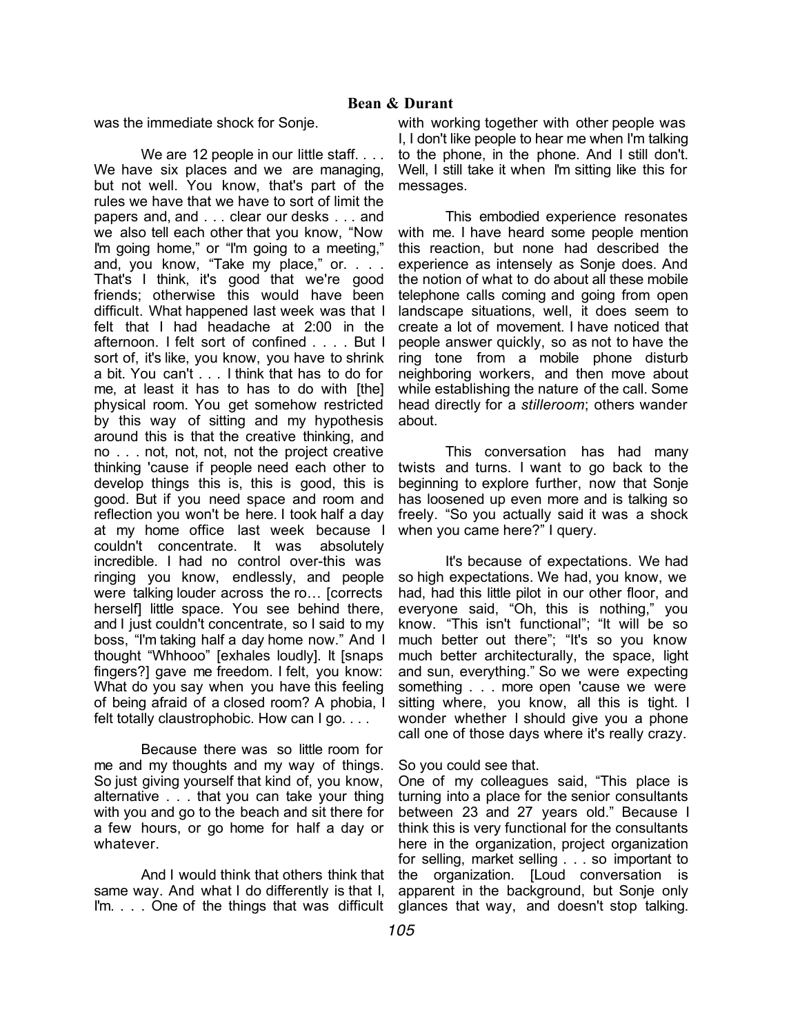was the immediate shock for Sonje.

We are 12 people in our little staff. . . . We have six places and we are managing, but not well. You know, that's part of the rules we have that we have to sort of limit the papers and, and . . . clear our desks . . . and we also tell each other that you know, "Now I'm going home," or "I'm going to a meeting," and, you know, "Take my place," or. . . . That's I think, it's good that we're good friends; otherwise this would have been difficult. What happened last week was that I felt that I had headache at 2:00 in the afternoon. I felt sort of confined . . . . But I sort of, it's like, you know, you have to shrink a bit. You can't . . . I think that has to do for me, at least it has to has to do with [the] physical room. You get somehow restricted by this way of sitting and my hypothesis around this is that the creative thinking, and no . . . not, not, not, not the project creative thinking 'cause if people need each other to develop things this is, this is good, this is good. But if you need space and room and reflection you won't be here. I took half a day at my home office last week because I couldn't concentrate. It was absolutely incredible. I had no control over-this was ringing you know, endlessly, and people were talking louder across the ro… [corrects herself] little space. You see behind there, and I just couldn't concentrate, so I said to my boss, "I'm taking half a day home now." And I thought "Whhooo" [exhales loudly]. It [snaps fingers?] gave me freedom. I felt, you know: What do you say when you have this feeling of being afraid of a closed room? A phobia, I felt totally claustrophobic. How can I go. . . .

Because there was so little room for me and my thoughts and my way of things. So just giving yourself that kind of, you know, alternative . . . that you can take your thing with you and go to the beach and sit there for a few hours, or go home for half a day or whatever.

And I would think that others think that same way. And what I do differently is that I, I'm. . . . One of the things that was difficult

with working together with other people was I, I don't like people to hear me when I'm talking to the phone, in the phone. And I still don't. Well, I still take it when I'm sitting like this for messages.

This embodied experience resonates with me. I have heard some people mention this reaction, but none had described the experience as intensely as Sonje does. And the notion of what to do about all these mobile telephone calls coming and going from open landscape situations, well, it does seem to create a lot of movement. I have noticed that people answer quickly, so as not to have the ring tone from a mobile phone disturb neighboring workers, and then move about while establishing the nature of the call. Some head directly for a *stilleroom*; others wander about.

This conversation has had many twists and turns. I want to go back to the beginning to explore further, now that Sonje has loosened up even more and is talking so freely. "So you actually said it was a shock when you came here?" I query.

It's because of expectations. We had so high expectations. We had, you know, we had, had this little pilot in our other floor, and everyone said, "Oh, this is nothing," you know. "This isn't functional"; "It will be so much better out there"; "It's so you know much better architecturally, the space, light and sun, everything." So we were expecting something . . . more open 'cause we were sitting where, you know, all this is tight. I wonder whether I should give you a phone call one of those days where it's really crazy.

# So you could see that.

One of my colleagues said, "This place is turning into a place for the senior consultants between 23 and 27 years old." Because I think this is very functional for the consultants here in the organization, project organization for selling, market selling . . . so important to the organization. [Loud conversation is apparent in the background, but Sonje only glances that way, and doesn't stop talking.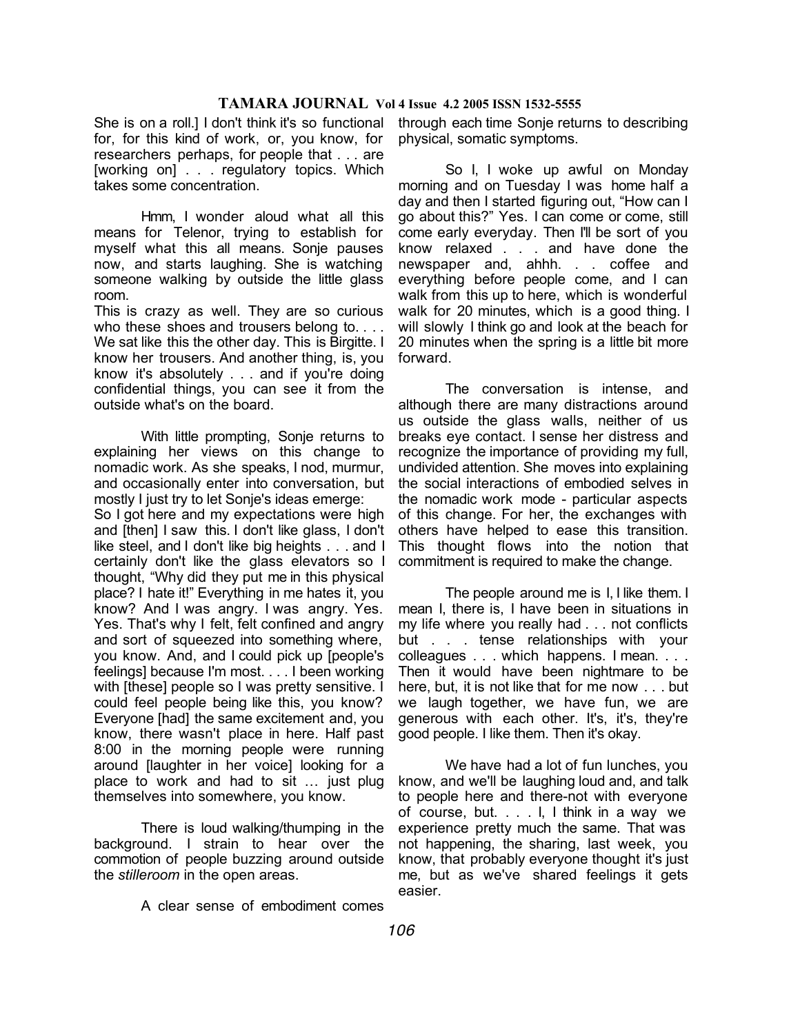She is on a roll.] I don't think it's so functional for, for this kind of work, or, you know, for researchers perhaps, for people that . . . are [working on] . . . regulatory topics. Which takes some concentration.

Hmm, I wonder aloud what all this means for Telenor, trying to establish for myself what this all means. Sonje pauses now, and starts laughing. She is watching someone walking by outside the little glass room.

This is crazy as well. They are so curious who these shoes and trousers belong to.... We sat like this the other day. This is Birgitte. I know her trousers. And another thing, is, you know it's absolutely . . . and if you're doing confidential things, you can see it from the outside what's on the board.

With little prompting, Sonje returns to explaining her views on this change to nomadic work. As she speaks, I nod, murmur, and occasionally enter into conversation, but mostly I just try to let Sonje's ideas emerge: So I got here and my expectations were high and [then] I saw this. I don't like glass, I don't like steel, and I don't like big heights . . . and I certainly don't like the glass elevators so I thought, "Why did they put me in this physical place? I hate it!" Everything in me hates it, you know? And I was angry. I was angry. Yes. Yes. That's why I felt, felt confined and angry and sort of squeezed into something where, you know. And, and I could pick up [people's feelings] because I'm most. . . . I been working with [these] people so I was pretty sensitive. I could feel people being like this, you know? Everyone [had] the same excitement and, you know, there wasn't place in here. Half past 8:00 in the morning people were running around [laughter in her voice] looking for a place to work and had to sit … just plug themselves into somewhere, you know.

There is loud walking/thumping in the background. I strain to hear over the commotion of people buzzing around outside the *stilleroom* in the open areas.

A clear sense of embodiment comes

through each time Sonje returns to describing physical, somatic symptoms.

So I, I woke up awful on Monday morning and on Tuesday I was home half a day and then I started figuring out, "How can I go about this?" Yes. I can come or come, still come early everyday. Then I'll be sort of you know relaxed . . . and have done the newspaper and, ahhh. . . coffee and everything before people come, and I can walk from this up to here, which is wonderful walk for 20 minutes, which is a good thing. I will slowly I think go and look at the beach for 20 minutes when the spring is a little bit more forward.

The conversation is intense, and although there are many distractions around us outside the glass walls, neither of us breaks eye contact. I sense her distress and recognize the importance of providing my full, undivided attention. She moves into explaining the social interactions of embodied selves in the nomadic work mode - particular aspects of this change. For her, the exchanges with others have helped to ease this transition. This thought flows into the notion that commitment is required to make the change.

The people around me is I, I like them. I mean I, there is, I have been in situations in my life where you really had . . . not conflicts but . . . tense relationships with your colleagues . . . which happens. I mean. . . . Then it would have been nightmare to be here, but, it is not like that for me now . . . but we laugh together, we have fun, we are generous with each other. It's, it's, they're good people. I like them. Then it's okay.

We have had a lot of fun lunches, you know, and we'll be laughing loud and, and talk to people here and there-not with everyone of course, but. . . . I, I think in a way we experience pretty much the same. That was not happening, the sharing, last week, you know, that probably everyone thought it's just me, but as we've shared feelings it gets easier.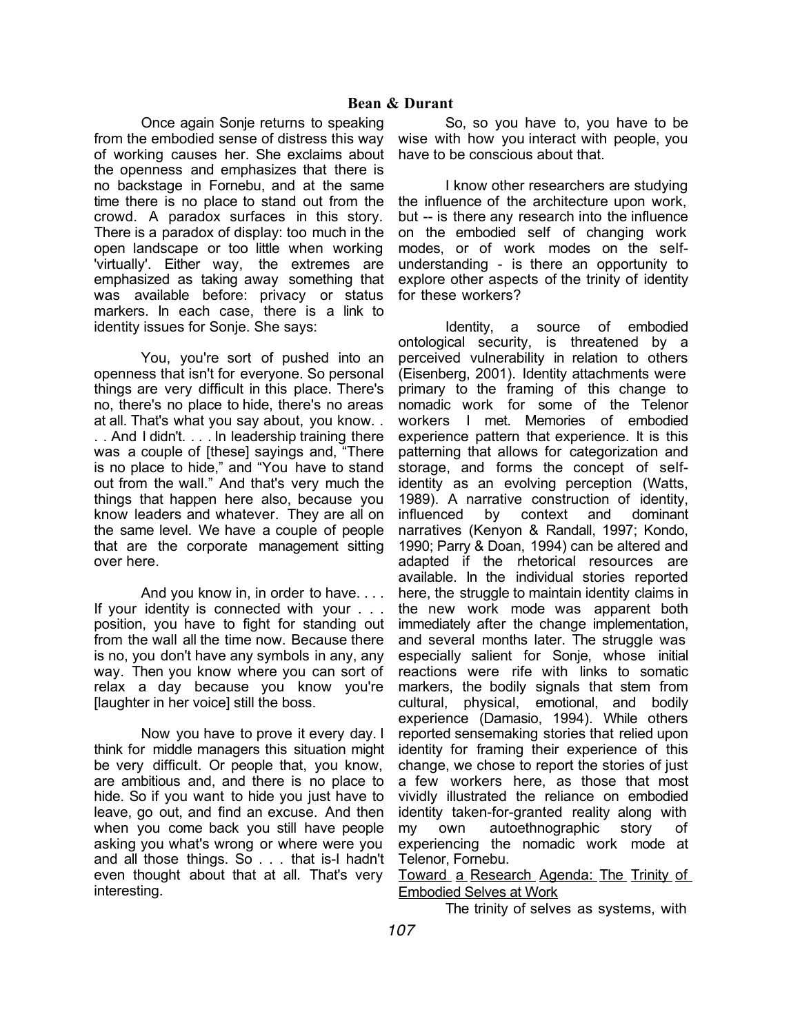Once again Sonje returns to speaking from the embodied sense of distress this way of working causes her. She exclaims about have to be conscious about that. the openness and emphasizes that there is no backstage in Fornebu, and at the same time there is no place to stand out from the crowd. A paradox surfaces in this story. There is a paradox of display: too much in the open landscape or too little when working 'virtually'. Either way, the extremes are emphasized as taking away something that was available before: privacy or status markers. In each case, there is a link to identity issues for Sonje. She says:

You, you're sort of pushed into an openness that isn't for everyone. So personal things are very difficult in this place. There's no, there's no place to hide, there's no areas at all. That's what you say about, you know. . . . And I didn't. . . . In leadership training there was a couple of [these] sayings and, "There is no place to hide," and "You have to stand out from the wall." And that's very much the things that happen here also, because you know leaders and whatever. They are all on the same level. We have a couple of people that are the corporate management sitting over here.

And you know in, in order to have. . . . If your identity is connected with your . . . position, you have to fight for standing out from the wall all the time now. Because there is no, you don't have any symbols in any, any way. Then you know where you can sort of relax a day because you know you're [laughter in her voice] still the boss.

Now you have to prove it every day. I think for middle managers this situation might be very difficult. Or people that, you know, are ambitious and, and there is no place to hide. So if you want to hide you just have to leave, go out, and find an excuse. And then when you come back you still have people asking you what's wrong or where were you and all those things. So . . . that is-I hadn't even thought about that at all. That's very interesting.

So, so you have to, you have to be wise with how you interact with people, you

I know other researchers are studying the influence of the architecture upon work, but -- is there any research into the influence on the embodied self of changing work modes, or of work modes on the selfunderstanding - is there an opportunity to explore other aspects of the trinity of identity for these workers?

Identity, a source of embodied ontological security, is threatened by a perceived vulnerability in relation to others (Eisenberg, 2001). Identity attachments were primary to the framing of this change to nomadic work for some of the Telenor workers I met. Memories of embodied experience pattern that experience. It is this patterning that allows for categorization and storage, and forms the concept of selfidentity as an evolving perception (Watts, 1989). A narrative construction of identity, influenced by context and dominant narratives (Kenyon & Randall, 1997; Kondo, 1990; Parry & Doan, 1994) can be altered and adapted if the rhetorical resources are available. In the individual stories reported here, the struggle to maintain identity claims in the new work mode was apparent both immediately after the change implementation, and several months later. The struggle was especially salient for Sonje, whose initial reactions were rife with links to somatic markers, the bodily signals that stem from cultural, physical, emotional, and bodily experience (Damasio, 1994). While others reported sensemaking stories that relied upon identity for framing their experience of this change, we chose to report the stories of just a few workers here, as those that most vividly illustrated the reliance on embodied identity taken-for-granted reality along with my own autoethnographic story of experiencing the nomadic work mode at Telenor, Fornebu.

Toward a Research Agenda: The Trinity of Embodied Selves at Work

The trinity of selves as systems, with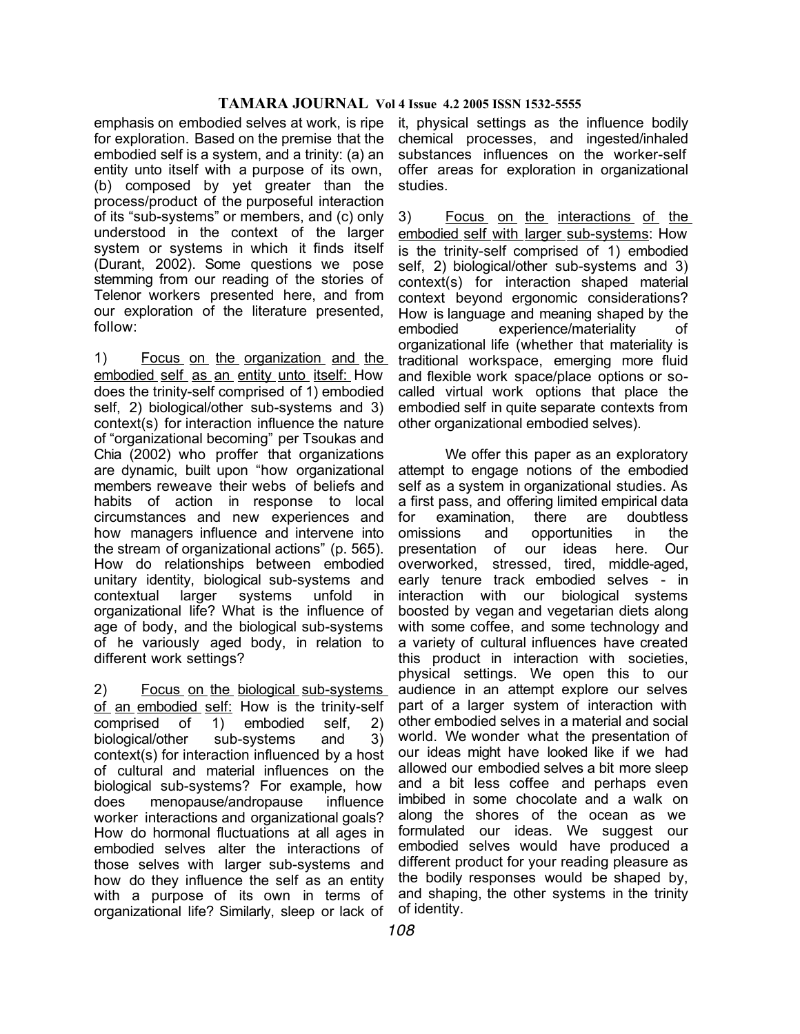emphasis on embodied selves at work, is ripe for exploration. Based on the premise that the embodied self is a system, and a trinity: (a) an entity unto itself with a purpose of its own, (b) composed by yet greater than the process/product of the purposeful interaction of its "sub-systems" or members, and (c) only understood in the context of the larger system or systems in which it finds itself (Durant, 2002). Some questions we pose stemming from our reading of the stories of Telenor workers presented here, and from our exploration of the literature presented, follow:

1) Focus on the organization and the embodied self as an entity unto itself: How does the trinity-self comprised of 1) embodied self, 2) biological/other sub-systems and 3) context(s) for interaction influence the nature of "organizational becoming" per Tsoukas and Chia (2002) who proffer that organizations are dynamic, built upon "how organizational members reweave their webs of beliefs and habits of action in response to local circumstances and new experiences and how managers influence and intervene into the stream of organizational actions" (p. 565). How do relationships between embodied unitary identity, biological sub-systems and contextual larger systems unfold in organizational life? What is the influence of age of body, and the biological sub-systems of he variously aged body, in relation to different work settings?

2) Focus on the biological sub-systems of an embodied self: How is the trinity-self comprised of 1) embodied self, 2) biological/other sub-systems and 3) context(s) for interaction influenced by a host of cultural and material influences on the biological sub-systems? For example, how does menopause/andropause influence worker interactions and organizational goals? How do hormonal fluctuations at all ages in embodied selves alter the interactions of those selves with larger sub-systems and how do they influence the self as an entity with a purpose of its own in terms of organizational life? Similarly, sleep or lack of

it, physical settings as the influence bodily chemical processes, and ingested/inhaled substances influences on the worker-self offer areas for exploration in organizational studies.

3) Focus on the interactions of the embodied self with larger sub-systems: How is the trinity-self comprised of 1) embodied self, 2) biological/other sub-systems and 3) context(s) for interaction shaped material context beyond ergonomic considerations? How is language and meaning shaped by the embodied experience/materiality of organizational life (whether that materiality is traditional workspace, emerging more fluid and flexible work space/place options or socalled virtual work options that place the embodied self in quite separate contexts from other organizational embodied selves).

We offer this paper as an exploratory attempt to engage notions of the embodied self as a system in organizational studies. As a first pass, and offering limited empirical data for examination, there are doubtless omissions and opportunities in the presentation of our ideas here. Our overworked, stressed, tired, middle-aged, early tenure track embodied selves - in interaction with our biological systems boosted by vegan and vegetarian diets along with some coffee, and some technology and a variety of cultural influences have created this product in interaction with societies, physical settings. We open this to our audience in an attempt explore our selves part of a larger system of interaction with other embodied selves in a material and social world. We wonder what the presentation of our ideas might have looked like if we had allowed our embodied selves a bit more sleep and a bit less coffee and perhaps even imbibed in some chocolate and a walk on along the shores of the ocean as we formulated our ideas. We suggest our embodied selves would have produced a different product for your reading pleasure as the bodily responses would be shaped by, and shaping, the other systems in the trinity of identity.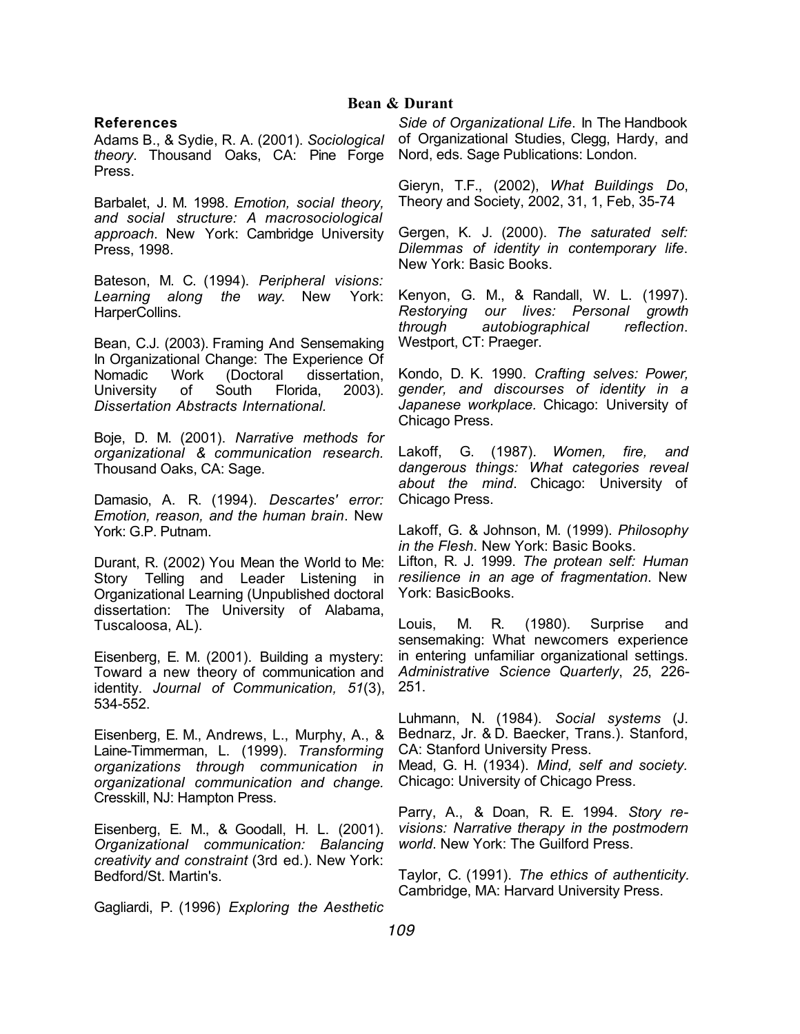# **Bean & Durant**

### **References**

Adams B., & Sydie, R. A. (2001). *Sociological theory*. Thousand Oaks, CA: Pine Forge Press.

Barbalet, J. M. 1998. *Emotion, social theory, and social structure: A macrosociological approach*. New York: Cambridge University Press, 1998.

Bateson, M. C. (1994). *Peripheral visions: Learning along the way*. New York: HarperCollins.

Bean, C.J. (2003). Framing And Sensemaking In Organizational Change: The Experience Of Nomadic Work (Doctoral dissertation, University of South Florida, 2003). *Dissertation Abstracts International.*

Boje, D. M. (2001). *Narrative methods for organizational & communication research.* Thousand Oaks, CA: Sage.

Damasio, A. R. (1994). *Descartes' error: Emotion, reason, and the human brain*. New York: G.P. Putnam.

Durant, R. (2002) You Mean the World to Me: Story Telling and Leader Listening in Organizational Learning (Unpublished doctoral dissertation: The University of Alabama, Tuscaloosa, AL).

Eisenberg, E. M. (2001). Building a mystery: Toward a new theory of communication and identity. *Journal of Communication, 51*(3), 534-552.

Eisenberg, E. M., Andrews, L., Murphy, A., & Laine-Timmerman, L. (1999). *Transforming organizations through communication in organizational communication and change.* Cresskill, NJ: Hampton Press.

Eisenberg, E. M., & Goodall, H. L. (2001). *Organizational communication: Balancing creativity and constraint* (3rd ed.). New York: Bedford/St. Martin's.

Gagliardi, P. (1996) *Exploring the Aesthetic* 

*Side of Organizational Life*. In The Handbook of Organizational Studies, Clegg, Hardy, and Nord, eds. Sage Publications: London.

Gieryn, T.F., (2002), *What Buildings Do*, Theory and Society, 2002, 31, 1, Feb, 35-74

Gergen, K. J. (2000). *The saturated self: Dilemmas of identity in contemporary life*. New York: Basic Books.

Kenyon, G. M., & Randall, W. L. (1997). *Restorying our lives: Personal growth through autobiographical reflection*. Westport, CT: Praeger.

Kondo, D. K. 1990. *Crafting selves: Power, gender, and discourses of identity in a Japanese workplace.* Chicago: University of Chicago Press.

Lakoff, G. (1987). *Women, fire, and dangerous things: What categories reveal about the mind*. Chicago: University of Chicago Press.

Lakoff, G. & Johnson, M. (1999). *Philosophy in the Flesh*. New York: Basic Books.

Lifton, R. J. 1999. *The protean self: Human resilience in an age of fragmentation*. New York: BasicBooks.

Louis, M. R. (1980). Surprise and sensemaking: What newcomers experience in entering unfamiliar organizational settings. *Administrative Science Quarterly*, *25*, 226- 251.

Luhmann, N. (1984). *Social systems* (J. Bednarz, Jr. & D. Baecker, Trans.). Stanford, CA: Stanford University Press.

Mead, G. H. (1934). *Mind, self and society.*  Chicago: University of Chicago Press.

Parry, A., & Doan, R. E. 1994. *Story revisions: Narrative therapy in the postmodern world*. New York: The Guilford Press.

Taylor, C. (1991). *The ethics of authenticity.* Cambridge, MA: Harvard University Press.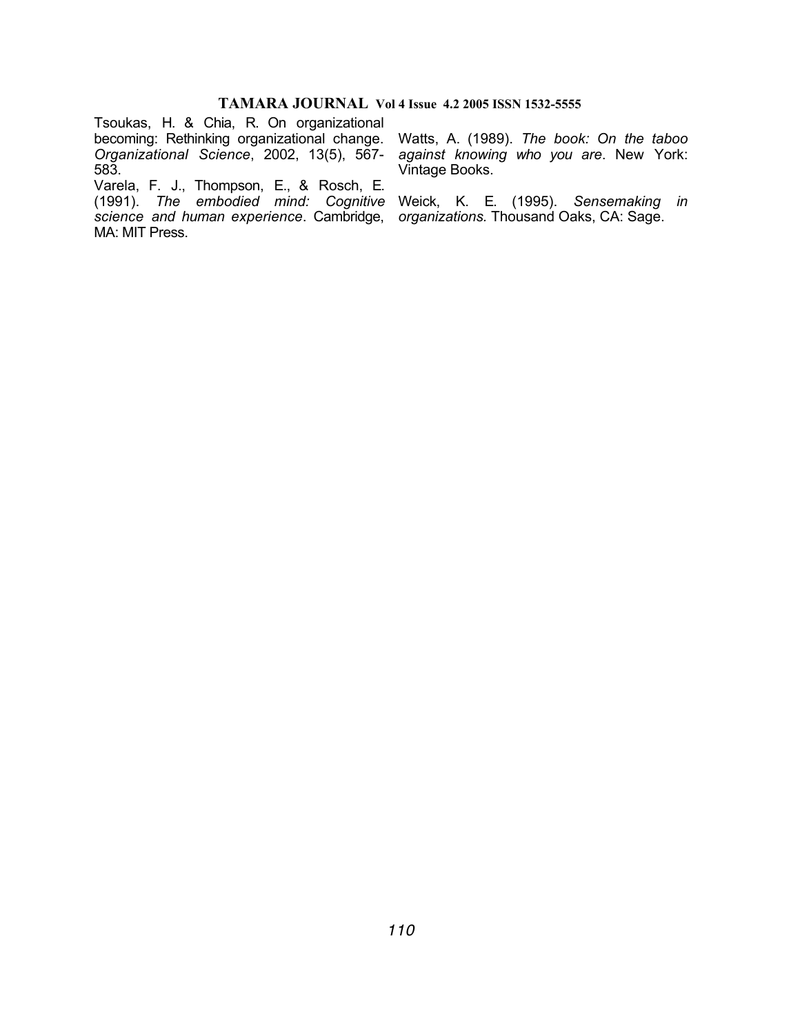Tsoukas, H. & Chia, R. On organizational becoming: Rethinking organizational change. Watts, A. (1989). *The book: On the taboo*  Organizational Science, 2002, 13(5), 567- against knowing who you are. New York: 583.

Varela, F. J., Thompson, E., & Rosch, E. (1991). *The embodied mind: Cognitive*  Weick, K. E. (1995). *Sensemaking in science and human experience*. Cambridge, *organizations.* Thousand Oaks, CA: Sage. MA: MIT Press.

Vintage Books.